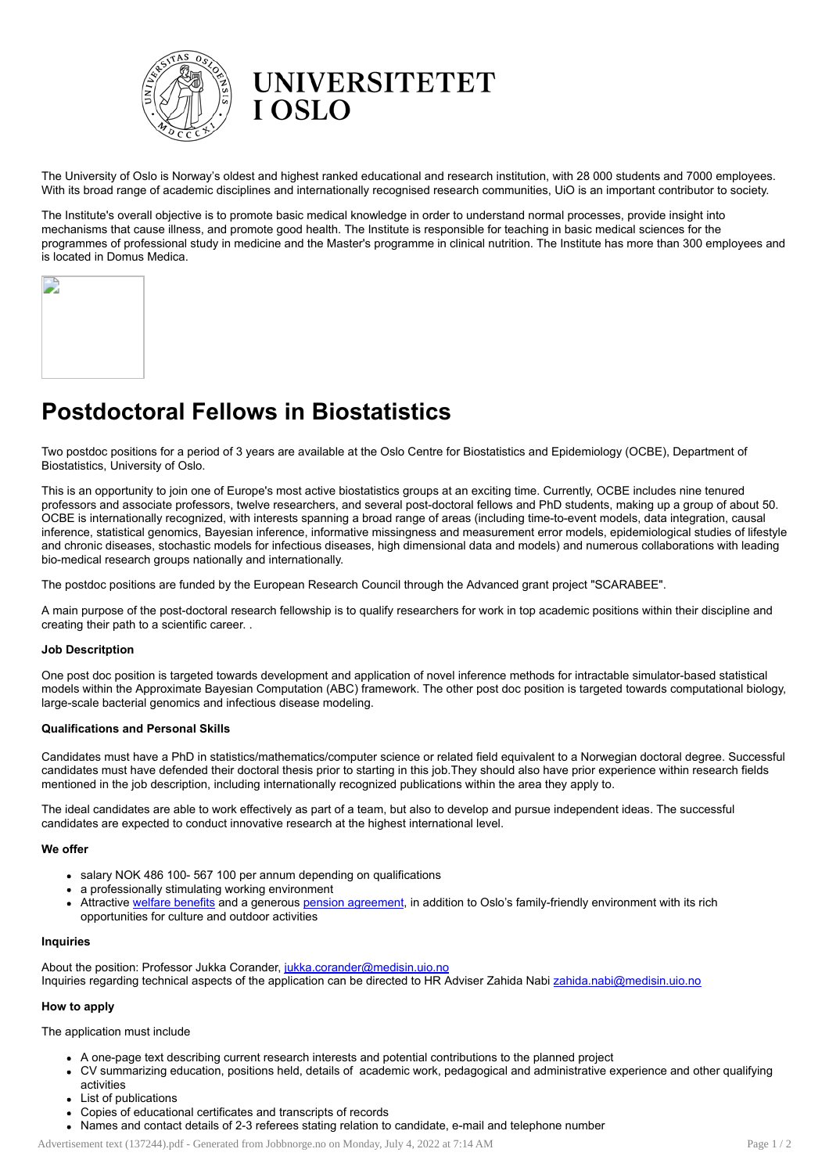

The University of Oslo is Norway's oldest and highest ranked educational and research institution, with 28 000 students and 7000 employees. With its broad range of academic disciplines and internationally recognised research communities, UiO is an important contributor to society.

The Institute's overall objective is to promote basic medical knowledge in order to understand normal processes, provide insight into mechanisms that cause illness, and promote good health. The Institute is responsible for teaching in basic medical sciences for the programmes of professional study in medicine and the Master's programme in clinical nutrition. The Institute has more than 300 employees and is located in Domus Medica.



# Postdoctoral Fellows in Biostatistics

Two postdoc positions for a period of 3 years are available at the Oslo Centre for Biostatistics and Epidemiology (OCBE), Department of Biostatistics, University of Oslo.

This is an opportunity to join one of Europe's most active biostatistics groups at an exciting time. Currently, OCBE includes nine tenured professors and associate professors, twelve researchers, and several post-doctoral fellows and PhD students, making up a group of about 50. OCBE is internationally recognized, with interests spanning a broad range of areas (including time-to-event models, data integration, causal inference, statistical genomics, Bayesian inference, informative missingness and measurement error models, epidemiological studies of lifestyle and chronic diseases, stochastic models for infectious diseases, high dimensional data and models) and numerous collaborations with leading bio-medical research groups nationally and internationally.

The postdoc positions are funded by the European Research Council through the Advanced grant project "SCARABEE".

A main purpose of the post-doctoral research fellowship is to qualify researchers for work in top academic positions within their discipline and creating their path to a scientific career. .

## Job Descritption

One post doc position is targeted towards development and application of novel inference methods for intractable simulator-based statistical models within the Approximate Bayesian Computation (ABC) framework. The other post doc position is targeted towards computational biology, large-scale bacterial genomics and infectious disease modeling.

## Qualifications and Personal Skills

Candidates must have a PhD in statistics/mathematics/computer science or related field equivalent to a Norwegian doctoral degree. Successful candidates must have defended their doctoral thesis prior to starting in this job.They should also have prior experience within research fields mentioned in the job description, including internationally recognized publications within the area they apply to.

The ideal candidates are able to work effectively as part of a team, but also to develop and pursue independent ideas. The successful candidates are expected to conduct innovative research at the highest international level.

## We offer

- salary NOK 486 100- 567 100 per annum depending on qualifications
- a professionally stimulating working environment
- Attractive welfare [benefits](http://www.uio.no/english/for-employees/employment/welfare/) and a generous pension [agreement,](http://www.uio.no/english/for-employees/employment/international-researchers/stay/pension/) in addition to Oslo's family-friendly environment with its rich opportunities for culture and outdoor activities

#### Inquiries

About the position: Professor Jukka Corander, [jukka.corander@medisin.uio.no](mailto:jukka.corander@medisin.uio.no) Inquiries regarding technical aspects of the application can be directed to HR Adviser Zahida Nabi [zahida.nabi@medisin.uio.no](mailto:zahida.nabi@medisin.uio.no)

## How to apply

The application must include

- A one-page text describing current research interests and potential contributions to the planned project
- CV summarizing education, positions held, details of academic work, pedagogical and administrative experience and other qualifying activities
- List of publications
- Copies of educational certificates and transcripts of records
- Names and contact details of 2-3 referees stating relation to candidate, e-mail and telephone number